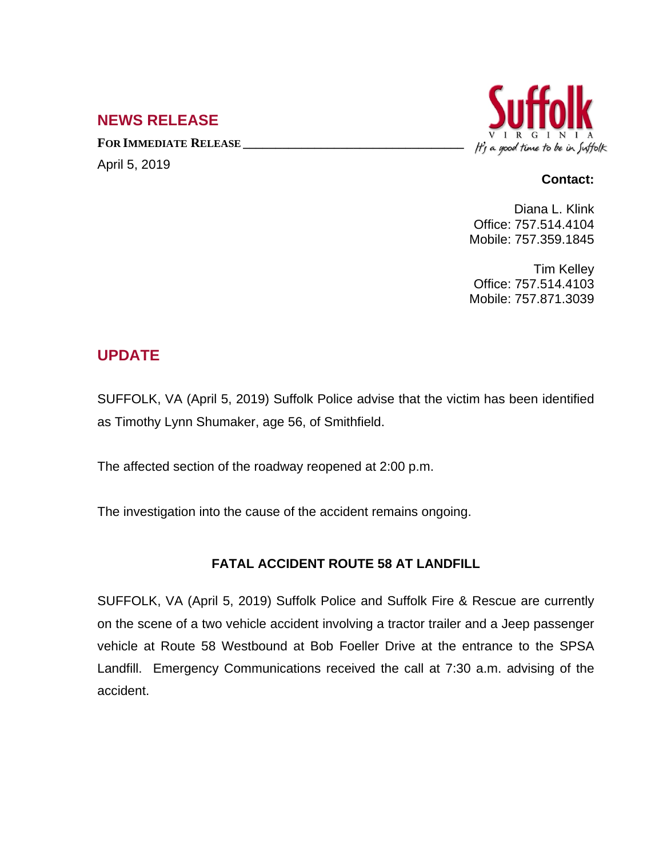## **NEWS RELEASE**

**FOR IMMEDIATE RELEASE \_\_\_\_\_\_\_\_\_\_\_\_\_\_\_\_\_\_\_\_\_\_\_\_\_\_\_\_\_\_\_\_\_\_** April 5, 2019



## **Contact:**

Diana L. Klink Office: 757.514.4104 Mobile: 757.359.1845

Tim Kelley Office: 757.514.4103 Mobile: 757.871.3039

## **UPDATE**

SUFFOLK, VA (April 5, 2019) Suffolk Police advise that the victim has been identified as Timothy Lynn Shumaker, age 56, of Smithfield.

The affected section of the roadway reopened at 2:00 p.m.

The investigation into the cause of the accident remains ongoing.

## **FATAL ACCIDENT ROUTE 58 AT LANDFILL**

SUFFOLK, VA (April 5, 2019) Suffolk Police and Suffolk Fire & Rescue are currently on the scene of a two vehicle accident involving a tractor trailer and a Jeep passenger vehicle at Route 58 Westbound at Bob Foeller Drive at the entrance to the SPSA Landfill. Emergency Communications received the call at 7:30 a.m. advising of the accident.